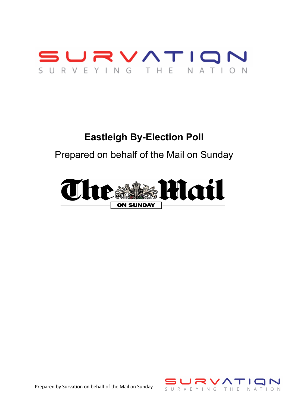

# **Eastleigh By-Election Poll**

Prepared on behalf of the Mail on Sunday





Prepared by Survation on behalf of the Mail on Sunday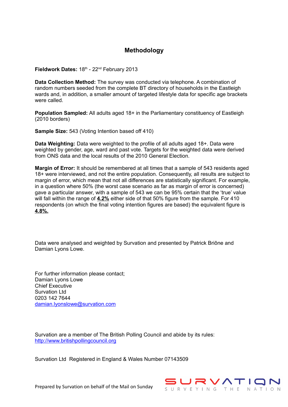#### **Methodology**

Fieldwork Dates: 18<sup>th</sup> - 22<sup>nd</sup> February 2013

**Data Collection Method:** The survey was conducted via telephone. A combination of random numbers seeded from the complete BT directory of households in the Eastleigh wards and, in addition, a smaller amount of targeted lifestyle data for specific age brackets were called.

**Population Sampled:** All adults aged 18+ in the Parliamentary constituency of Eastleigh (2010 borders)

**Sample Size:** 543 (Voting Intention based off 410)

**Data Weighting:** Data were weighted to the profile of all adults aged 18+. Data were weighted by gender, age, ward and past vote. Targets for the weighted data were derived from ONS data and the local results of the 2010 General Election.

**Margin of Error:** It should be remembered at all times that a sample of 543 residents aged 18+ were interviewed, and not the entire population. Consequently, all results are subject to margin of error, which mean that not all differences are statistically significant. For example, in a question where 50% (the worst case scenario as far as margin of error is concerned) gave a particular answer, with a sample of 543 we can be 95% certain that the 'true' value will fall within the range of **4 .2%** either side of that 50% figure from the sample. For 410 respondents (on which the final voting intention figures are based) the equivalent figure is  **4 .8%.**

Data were analysed and weighted by Survation and presented by Patrick Briône and Damian Lyons Lowe.

For further information please contact; Damian Lyons Lowe Chief Executive Survation Ltd 0203 142 7644 [damian.lyonslowe@survation.com](mailto:damian.lyonslowe@survation.com)

Survation are a member of The British Polling Council and abide by its rules: [http://www.britishpollingcouncil.org](http://www.britishpollingcouncil.org/)

Survation Ltd Registered in England & Wales Number 07143509



Prepared by Survation on behalf of the Mail on Sunday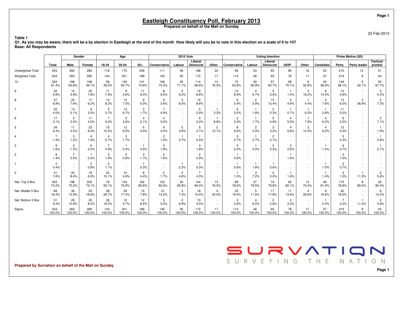23 Feb 2013

 **Q1. As you may be aware, there will be a by election in Eastleigh at the end of the month How likely will you be to vote in this election on a scale of 0 to 10?Base: All Respondents**

|                         |                        | Gender                 |                        |                        | Age                     |                        |                        | <b>2010 Vote</b>       |                        |                         |               |                        | <b>Voting Intention</b>    |                        |                         |                        |                        | Prime Motive (Q3)   |                        |
|-------------------------|------------------------|------------------------|------------------------|------------------------|-------------------------|------------------------|------------------------|------------------------|------------------------|-------------------------|---------------|------------------------|----------------------------|------------------------|-------------------------|------------------------|------------------------|---------------------|------------------------|
|                         | Total                  | Male                   | Female                 | 18-34                  | 35-54                   | $55+$                  | Conservative           | Labour                 | Liberal<br>Democrat    | Other                   | Conservative  | Labour                 | Liberal<br><b>Democrat</b> | <b>UKIP</b>            | Other                   | <b>Candidate</b>       | Party                  | <b>Party leader</b> | Tactical/<br>protest   |
| <b>Unweighted Total</b> | 543                    | 260                    | 283                    | 118                    | 170                     | 246                    | 111                    | 48                     | 188                    | 22                      | 95            | 53                     | 93                         | 85                     | 16                      | 53                     | 210                    | 12                  | 51                     |
| <b>Weighted Total</b>   | 543                    | 263                    | 280                    | 144                    | 201                     | 189                    | 145                    | 35                     | 172                    | 17                      | 114           | 46                     | 93                         | 76                     | 17                      | 57                     | 219                    | 9                   | 44                     |
| 10                      | 333<br>61.4%           | 168<br>63.8%           | 166<br>59.1%           | 56<br>39.0%            | 130<br>64.7%            | 141<br>74.8%           | 106<br>73.3%           | 25<br>71.1%            | 114<br>66.6%           | 13<br>76.0%             | 73<br>63.8%   | 30<br>65.9%            | 57<br>60.7%                | 58<br>76.1%            | 9<br>52.8%              | 34<br>58.9%            | 149<br>68.1%           | 5<br>52.1%          | 30<br>67.7%            |
| 9                       | 32<br>5.9%             | 10<br>3.9%             | 22<br>7.8%             | 11<br>7.9%             | 9<br>4.6%               | 11<br>6.0%             | 8<br>5.6%              | $\overline{c}$<br>6.2% | 15<br>8.6%             | $\sim$                  | 10<br>8.9%    | $\overline{4}$<br>9.7% | 5<br>5.5%                  | $\mathbf{1}$<br>1.4%   | 3<br>16.2%              | 8<br>14.5%             | 10<br>4.6%             |                     | $\overline{c}$<br>5.4% |
| 8                       | 37<br>6.9%             | 20<br>7.6%             | 17<br>6.2%             | 12<br>8.2%             | 15<br>7.5%              | 9<br>5.0%              | 5<br>3.6%              | 3<br>8.5%              | 15<br>8.8%             | $\sim$                  | 6<br>5.4%     | $\overline{2}$<br>3.9% | 13<br>13.4%                | 3<br>4.6%              | $\mathbf{1}$<br>4.4%    | $\overline{4}$<br>7.6% | 13<br>6.0%             | 3<br>36.9%          | 3<br>7.3%              |
| 7                       | 22<br>4.0%             | 13<br>5.1%             | 8<br>3.0%              | 5<br>3.7%              | 13<br>6.7%              | 3<br>1.7%              | $\overline{7}$<br>4.9% | $\sim$<br>$\sim$       | 5<br>2.9%              | 3.2%                    | 6<br>5.5%     | $\overline{1}$<br>1.8% | 5<br>5.3%                  | $\overline{1}$<br>0.7% | $\mathbf{1}$<br>6.3%    | $\mathbf{1}$<br>2.6%   | 11<br>5.0%             | $\sim$              |                        |
| 6                       | 17<br>3.1%             | 5<br>2.0%              | 11<br>4.0%             | $\overline{7}$<br>5.2% | 5<br>2.6%               | $\overline{4}$<br>2.1% | 4<br>3.0%              | $\sim$                 | $\overline{4}$<br>2.2% | 8.8%                    | 3<br>2.4%     | $\mathbf{1}$<br>1.7%   | 5<br>4.9%                  | $\overline{4}$<br>5.5% | $\mathbf{1}$<br>7.9%    | $\overline{4}$<br>6.3% | 6<br>2.5%              | $\sim$<br>$\sim$    | 3<br>7.1%              |
| 5                       | 34<br>6.3%             | 11<br>4.2%             | 23<br>8.3%             | 15<br>10.3%            | 12<br>6.0%              | 6<br>3.4%              | 4<br>3.0%              | $\overline{c}$<br>4.6% | 5<br>3.1%              | $\mathbf{2}$<br>12.1%   | 8<br>6.6%     | $\overline{2}$<br>3.3% | 3<br>3.2%                  | $\overline{4}$<br>5.8% | $\overline{2}$<br>12.3% | $\overline{4}$<br>6.2% | 12<br>5.5%             | $\sim$              | 1.9%                   |
| $\overline{4}$          | $\overline{7}$<br>1.4% | 3<br>1.2%              | $\overline{4}$<br>1.5% | 4<br>2.7%              | 3<br>1.7%               | $\sim$<br>$\sim$       | $\overline{2}$<br>1.6% | 2.7%                   | 0.5%                   | $\sim$                  | 3<br>2.7%     | $\mathbf{1}$<br>2.7%   | $\overline{c}$<br>2.1%     | $\sim$                 | $\sim$<br>$\sim$        | $\sim$<br>$\sim$       | 5<br>2.3%              | $\sim$              | 2.8%                   |
| 3                       | 9<br>1.6%              | 3<br>1.3%              | 6<br>2.0%              | $\overline{7}$<br>4.9% | $\overline{1}$<br>0.4%  | $\overline{1}$<br>0.5% | 3<br>1.8%              | $\sim$                 | 3<br>1.8%              | $\sim$                  | 3<br>2.2%     | $\mathbf{1}$<br>2.0%   | $\overline{c}$<br>2.3%     | $\overline{c}$<br>2.6% | $\sim$<br>$\sim$        | 1.4%                   | 6<br>2.7%              |                     | 2.1%                   |
| $\overline{c}$          | 8<br>1.4%              | $\overline{7}$<br>2.5% | $\mathbf{1}$<br>0.3%   | 3<br>1.9%              | $\overline{2}$<br>0.8%  | 3<br>1.7%              | $\overline{2}$<br>1.6% |                        | $\overline{2}$<br>0.9% |                         | 0.9%          | $\sim$                 | $\sim$<br>$\sim$           | $\mathbf{1}$<br>1.6%   | $\sim$                  | $\sim$                 | $\overline{c}$<br>1.0% |                     |                        |
|                         | $\overline{c}$<br>0.4% | $\sim$<br>$\sim$       | $\overline{2}$<br>0.8% | $\overline{2}$<br>1.1% | $\sim$                  | $\mathbf{1}$<br>0.3%   | $\sim$<br>$\sim$       | 2.3%                   | 0.3%                   | $\sim$                  | 0.6%          | $\mathbf{1}$<br>1.8%   | $\overline{1}$<br>0.6%     | $\sim$                 | $\sim$                  | $\overline{1}$<br>1.0% | $\overline{2}$<br>0.7% |                     |                        |
| $\mathbf{0}$            | 41<br>7.6%             | 22<br>8.4%             | 19<br>6.9%             | 22<br>15.1%            | 10 <sup>1</sup><br>4.9% | 8<br>4.4%              | $\overline{2}$<br>1.7% | $\mathbf{2}$<br>4.6%   | $\overline{7}$<br>4.3% | $\sim$                  | 1.0%          | $\mathbf{3}$<br>7.2%   | $\overline{2}$<br>2.0%     | $\overline{1}$<br>1.6% | $\sim$<br>$\sim$        | $\mathbf{1}$<br>1.4%   | 3<br>1.5%              | 11.0%               | $\overline{2}$<br>5.6% |
| Net: Top 3 Box          | 403<br>74.2%           | 198<br>75.2%           | 205<br>73.1%           | 79<br>55.1%            | 154<br>76.9%            | 162<br>85.8%           | 120<br>82.6%           | 30<br>85.8%            | 144<br>84.0%           | 13<br>76.0%             | 89<br>78.0%   | 37<br>79.5%            | 74<br>79.6%                | 62<br>82.1%            | 12<br>73.4%             | 46<br>81.0%            | 173<br>78.8%           | 8<br>89.0%          | 35<br>80.4%            |
| Net: Middle 5 Box       | 89<br>16.4%            | 36<br>13.9%            | 53<br>18.8%            | 38<br>26.7%            | 35<br>17.4%             | 15<br>7.8%             | 21<br>14.2%            | 3<br>7.3%              | 18<br>10.4%            | $\overline{4}$<br>24.0% | 22<br>19.4%   | 5<br>11.5%             | 17<br>17.8%                | 11<br>14.6%            | $\overline{4}$<br>26.6% | 9<br>16.6%             | 40<br>18.0%            | $\sim$              | 6<br>14.0%             |
| Net: Bottom 3 Box       | 51<br>9.4%             | 29<br>10.9%            | 23<br>8.0%             | 26<br>18.2%            | 12<br>5.7%              | 12<br>6.4%             | 5<br>3.3%              | $\overline{c}$<br>6.9% | 10<br>5.5%             | $\sim$<br>$\sim$        | 3<br>2.5%     | $\overline{4}$<br>9.0% | $\overline{2}$<br>2.6%     | $\overline{2}$<br>3.3% | $\sim$<br>$\sim$        | $\mathbf{1}$<br>2.4%   | $\overline{7}$<br>3.2% | 11.0%               | $\overline{2}$<br>5.6% |
| Sigma                   | 543<br>100.0%          | 263<br>100.0%          | 280<br>100.0%          | 144<br>100.0%          | 201<br>100.0%           | 189<br>100.0%          | 145<br>100.0%          | 35<br>100.0%           | 172<br>100.0%          | 17<br>100.0%            | 114<br>100.0% | 46<br>100.0%           | 93<br>100.0%               | 76<br>100.0%           | 17<br>100.0%            | 57<br>100.0%           | 219<br>100.0%          | 9<br>100.0%         | 44<br>100.0%           |

**Prepared by Survation on behalf of the Mail on Sunday**

**Table 1**

SURVEYING THE NATION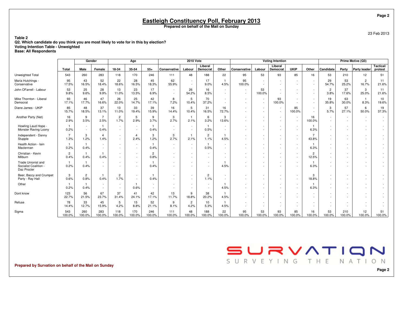23 Feb 2013

**Table 2 Q2. Which candidate do you think you are most likely to vote for in this by election?Voting Intention Table - UnweightedBase: All Respondents**

|                                                            |                        | Gender                 |                        |                        | Age                    |                        |                     | <b>2010 Vote</b>       |                        |                                    |                  |              | <b>Voting Intention</b>            |                                            |                                    |                        |               | Prime Motive (Q3)                  |                      |
|------------------------------------------------------------|------------------------|------------------------|------------------------|------------------------|------------------------|------------------------|---------------------|------------------------|------------------------|------------------------------------|------------------|--------------|------------------------------------|--------------------------------------------|------------------------------------|------------------------|---------------|------------------------------------|----------------------|
|                                                            | Total                  | Male                   | Female                 | 18-34                  | 35-54                  | $55+$                  | <b>Conservative</b> | Labour                 | Liberal<br>Democrat    | Other                              | Conservative     | Labour       | Liberal<br>Democrat                | <b>UKIP</b>                                | Other                              | Candidate              | Party         | <b>Party leader</b>                | Tactical/<br>protest |
| Unweighted Total                                           | 543                    | 260                    | 283                    | 118                    | 170                    | 246                    | 111                 | 48                     | 188                    | 22                                 | 95               | 53           | 93                                 | 85                                         | 16                                 | 53                     | 210           | 12                                 | 51                   |
| Maria Hutchings -<br>Conservative                          | 95<br>17.5%            | 43<br>16.5%            | 52<br>18.4%            | 22<br>18.6%            | 28<br>16.5%            | 45<br>18.3%            | 62<br>55.9%         | $\sim$                 | 17<br>9.0%             | 4.5%                               | 95<br>100.0%     | $\sim$       | $\overline{\phantom{a}}$<br>$\sim$ | $\sim$<br>$\sim$                           | $\overline{\phantom{a}}$           | 29<br>54.7%            | 53<br>25.2%   | $\overline{2}$<br>16.7%            | 11<br>21.6%          |
| John OFarrell - Labour                                     | 53<br>9.8%             | 25<br>9.6%             | 28<br>9.9%             | 13<br>11.0%            | 23<br>13.5%            | 17<br>6.9%             | $\sim$<br>$\sim$    | 26<br>54.2%            | 16<br>8.5%             | $\sim$<br>$\sim$                   | $\sim$<br>$\sim$ | 53<br>100.0% |                                    | $\sim$<br>$\sim$                           | $\sim$<br>$\sim$                   | $\overline{2}$<br>3.8% | 37<br>17.6%   | 3<br>25.0%                         | 11<br>21.6%          |
| Mike Thornton - Liberal<br>Democrat                        | 93<br>17.1%            | 46<br>17.7%            | 47<br>16.6%            | 26<br>22.0%            | 25<br>14.7%            | 42<br>17.1%            | 8<br>7.2%           | 5<br>10.4%             | 70<br>37.2%            | $\overline{\phantom{a}}$<br>$\sim$ | $\sim$<br>$\sim$ | ٠<br>٠       | 93<br>100.0%                       | <b>College</b><br>$\sim$                   | $\overline{\phantom{a}}$<br>$\sim$ | 19<br>35.8%            | 63<br>30.0%   | $\mathbf{1}$<br>8.3%               | 10<br>19.6%          |
| Diane James - UKIP                                         | 85<br>15.7%            | 48<br>18.5%            | 37<br>13.1%            | 13<br>11.0%            | 33<br>19.4%            | 39<br>15.9%            | 16<br>14.4%         | 5<br>10.4%             | 31<br>16.5%            | 16<br>72.7%                        |                  | ٠<br>۰       | $\sim$<br>$\sim$                   | 85<br>100.0%                               | $\sim$<br>$\overline{\phantom{a}}$ | 3<br>5.7%              | 57<br>27.1%   | 6<br>50.0%                         | 19<br>37.3%          |
| Another Party (Net)                                        | 16<br>2.9%             | 9<br>3.5%              | $\overline{7}$<br>2.5% | $\overline{2}$<br>1.7% | 5<br>2.9%              | 9<br>3.7%              | 3<br>2.7%           | -1<br>2.1%             | 6<br>3.2%              | 3<br>13.6%                         |                  | ٠            |                                    | $\sim$<br>$\sim$                           | 16<br>100.0%                       | $\sim$<br>$\sim$       |               | $\sim$<br>$\sim$                   |                      |
| Howling Laud Hope -<br>Monster Raving Loony                | $\mathbf{1}$<br>0.2%   | $\sim$<br>$\sim$       | $\mathbf{1}$<br>0.4%   | $\sim$<br>$\sim$       | $\sim$                 | 0.4%                   | $\sim$<br>$\sim$    | $\sim$                 | 0.5%                   | $\sim$<br>$\sim$                   |                  | ۰<br>٠       | $\sim$                             | $\sim$<br>$\sim$                           | 6.3%                               |                        | ٠             | $\sim$<br>$\sim$                   |                      |
| Independent - Danny<br>Stupple                             | $\overline{7}$<br>1.3% | 3<br>1.2%              | $\overline{4}$<br>1.4% | $\sim$<br>$\sim$       | $\overline{4}$<br>2.4% | 3<br>1.2%              | 3<br>2.7%           | 2.1%                   | $\overline{2}$<br>1.1% | 4.5%                               |                  |              |                                    | $\sim$<br>$\sim$                           | $\overline{7}$<br>43.8%            |                        |               |                                    |                      |
| Health Action - Iain<br>Maclennan                          | 0.2%                   | 0.4%                   | $\sim$<br>$\sim$       | $\sim$                 | $\sim$<br>$\sim$       | 0.4%                   | $\sim$<br>$\sim$    |                        | 0.5%                   | $\sim$<br>$\sim$                   | $\sim$<br>$\sim$ | ٠<br>٠       |                                    | $\sim$<br>$\sim$                           | 6.3%                               |                        | ٠<br>٠        | $\overline{\phantom{a}}$<br>$\sim$ |                      |
| Christian - Kevin<br>Milburn                               | $\overline{2}$<br>0.4% | 0.4%                   | 0.4%                   | $\sim$                 | $\sim$<br>$\sim$       | $\overline{2}$<br>0.8% | $\sim$<br>$\sim$    | $\sim$                 |                        | $\overline{\phantom{a}}$           | $\sim$           |              | $\sim$                             | $\sim$<br>$\sim$                           | $\overline{2}$<br>12.5%            | $\sim$                 |               | $\sim$                             |                      |
| Trade Unionist and<br>Socialist Coalition -<br>Daz Procter | $\mathbf{1}$<br>0.2%   | 0.4%                   | $\sim$                 | $\sim$                 | $\sim$<br>$\sim$       | 0.4%                   | $\sim$              | $\sim$                 | ٠                      | 4.5%                               | $\sim$           | $\sim$       | $\sim$                             | $\sim$<br>$\sim$                           | 6.3%                               | $\sim$                 |               | $\overline{\phantom{a}}$           |                      |
| Beer, Baccy and Crumpet<br>Party - Ray Hall                | 3<br>0.6%              | $\overline{2}$<br>0.8% | -1<br>0.4%             | $\overline{2}$<br>1.7% | $\sim$<br>$\sim$       | 0.4%                   | $\sim$              |                        | $\overline{2}$<br>1.1% | $\sim$<br>$\sim$                   | $\overline{a}$   | ۰            | $\sim$                             | $\overline{\phantom{a}}$<br>$\sim$         | 3<br>18.8%                         |                        |               | $\sim$                             |                      |
| Other                                                      | $\mathbf{1}$<br>0.2%   | 0.4%                   | $\sim$<br>$\sim$       | $\sim$<br>$\sim$       | 0.6%                   | $\sim$<br>$\sim$       | $\sim$              |                        | $\sim$                 | 4.5%                               |                  | ۰            | $\sim$                             | $\overline{\phantom{a}}$<br><b>Section</b> | 6.3%                               | $\sim$                 |               | $\overline{\phantom{a}}$           |                      |
| Dont know                                                  | 123<br>22.7%           | 56<br>21.5%            | 67<br>23.7%            | 37<br>31.4%            | 41<br>24.1%            | 42<br>17.1%            | 13<br>11.7%         | 9<br>18.8%             | 38<br>20.2%            | 4.5%                               |                  |              |                                    |                                            | $\overline{\phantom{a}}$           |                        |               | $\sim$                             |                      |
| Refuse                                                     | 78<br>14.4%            | 33<br>12.7%            | 45<br>15.9%            | 5<br>4.2%              | 15<br>8.8%             | 52<br>21.1%            | 9<br>8.1%           | $\overline{2}$<br>4.2% | 10<br>5.3%             | 4.5%                               |                  |              |                                    | $\overline{\phantom{a}}$                   |                                    |                        |               |                                    |                      |
| Sigma                                                      | 543<br>100.0%          | 260<br>100.0%          | 283<br>100.0%          | 118<br>100.0%          | 170<br>100.0%          | 246<br>100.0%          | 111<br>100.0%       | 48<br>100.0%           | 188<br>100.0%          | 22<br>100.0%                       | 95<br>100.0%     | 53<br>100.0% | 93<br>100.0%                       | 85<br>100.0%                               | 16<br>100.0%                       | 53<br>100.0%           | 210<br>100.0% | 12<br>100.0%                       | 51<br>100.0%         |

**Prepared by Survation on behalf of the Mail on Sunday**

SURVATION SURVEYING THE NATION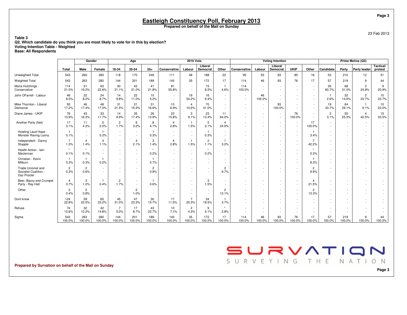23 Feb 2013

**Table 3 Q2. Which candidate do you think you are most likely to vote for in this by election?Voting Intention Table - Weighted**

**Base: All Respondents**

|                                                            |                                 | Gender                 |               |                        | Age                                |                         |                        | <b>2010 Vote</b>                   |                        |                                  |                               |                                    | <b>Voting Intention</b>            |                                    |                         |                        |                          | Prime Motive (Q3)                  |                      |
|------------------------------------------------------------|---------------------------------|------------------------|---------------|------------------------|------------------------------------|-------------------------|------------------------|------------------------------------|------------------------|----------------------------------|-------------------------------|------------------------------------|------------------------------------|------------------------------------|-------------------------|------------------------|--------------------------|------------------------------------|----------------------|
|                                                            | Total                           | Male                   | Female        | 18-34                  | 35-54                              | $55+$                   | Conservative           | Labour                             | Liberal<br>Democrat    | Other                            | Conservative                  | Labour                             | Liberal<br>Democrat                | <b>UKIP</b>                        | Other                   | Candidate              | Party                    | <b>Party leader</b>                | Tactical/<br>protest |
| Unweighted Total                                           | 543                             | 260                    | 283           | 118                    | 170                                | 246                     | 111                    | 48                                 | 188                    | 22                               | 95                            | 53                                 | 93                                 | 85                                 | 16                      | 53                     | 210                      | 12                                 | 51                   |
| <b>Weighted Total</b>                                      | 543                             | 263                    | 280           | 144                    | 201                                | 189                     | 145                    | 35                                 | 172                    | 17                               | 114                           | 46                                 | 93                                 | 76                                 | 17                      | 57                     | 219                      | 9                                  | 44                   |
| Maria Hutchings -<br>Conservative                          | 114<br>21.0%                    | 51<br>19.2%            | 63<br>22.6%   | 30<br>21.1%            | 42<br>21.0%                        | 41<br>21.8%             | 81<br>55.8%            | $\overline{\phantom{a}}$<br>$\sim$ | 15<br>8.5%             | $\overline{1}$<br>4.6%           | 114<br>100.0%                 | $\sim$<br>$\sim$                   |                                    | $\sim$<br>$\overline{\phantom{a}}$ | $\sim$<br>$\sim$        | 35<br>60.7%            | 68<br>31.0%              | $\overline{2}$<br>24.8%            | 9<br>20.9%           |
| John OFarrell - Labour                                     | 46<br>8.5%                      | 22<br>8.2%             | 24<br>8.7%    | 14<br>9.8%             | 22<br>11.0%                        | 10 <sup>1</sup><br>5.2% | $\sim$<br>$\sim$       | 19<br>54.2%                        | 16<br>9.4%             | $\sim$<br>$\sim$                 | $\sim$<br>$\sim$              | 46<br>100.0%                       |                                    | $\sim$<br>$\overline{\phantom{a}}$ | $\sim$<br>$\sim$        | $\mathbf{1}$<br>2.6%   | 32<br>14.6%              | $\overline{2}$<br>23.7%            | 10<br>23.7%          |
| Mike Thornton - Liberal<br>Democrat                        | 93<br>17.2%                     | 46<br>17.4%            | 48<br>17.0%   | 31<br>21.5%            | 31<br>15.5%                        | 31<br>16.6%             | 10<br>6.9%             | $\overline{4}$<br>10.6%            | 70<br>41.0%            | $\sim$<br>$\sim$                 | $\sim$<br>$\sim$              | $\sim$<br>$\sim$                   | 93<br>100.0%                       | $\sim$                             | $\sim$<br>$\sim$        | 19<br>33.7%            | 64<br>29.1%              | $\mathbf{1}$<br>9.1%               | 10<br>22.0%          |
| Diane James - UKIP                                         | 76<br>13.9%                     | 43<br>16.2%            | 33<br>11.7%   | 14<br>9.9%             | 35<br>17.4%                        | 26<br>13.9%             | 23<br>15.8%            | 3<br>9.1%                          | 23<br>13.4%            | 11<br>64.0%                      | $\sim$<br>$\sim$              | $\sim$                             | $\sim$<br>$\sim$                   | 76<br>100.0%                       | $\sim$<br>$\sim$        | $\overline{2}$<br>3.1% | 55<br>25.3%              | $\overline{\bf{4}}$<br>42.5%       | 15<br>33.5%          |
| Another Party (Net)                                        | 17<br>3.1%                      | 11<br>4.2%             | 5<br>2.0%     | $\overline{2}$<br>1.7% | 6<br>3.2%                          | 8<br>4.1%               | 4<br>2.8%              | $\mathbf{1}$<br>1.5%               | 5<br>3.1%              | $\overline{\mathbf{A}}$<br>24.9% | $\sim$<br>$\sim$              | $\overline{\phantom{a}}$<br>$\sim$ | $\overline{\phantom{a}}$<br>$\sim$ | $\overline{\phantom{a}}$<br>$\sim$ | 17<br>100.0%            | $\sim$<br>$\sim$       | $\sim$                   | $\overline{\phantom{a}}$<br>$\sim$ | $\sim$<br>$\sim$     |
| Howling Laud Hope -<br>Monster Raving Loony                | 0.1%                            | $\sim$<br>$\sim$       | 0.2%          | $\sim$<br>$\sim$       | $\overline{\phantom{a}}$<br>$\sim$ | 0.3%                    | $\sim$<br>$\sim$       | $\sim$<br>$\sim$                   | 0.3%                   | $\sim$<br>$\sim$                 | $\overline{\phantom{a}}$<br>٠ | $\overline{\phantom{a}}$<br>$\sim$ |                                    | $\overline{\phantom{a}}$<br>$\sim$ | 3.4%                    | $\sim$                 | $\sim$                   | $\overline{\phantom{a}}$<br>٠      |                      |
| Independent - Danny<br>Stupple                             | $\overline{7}$<br>1.3%          | 4<br>1.4%              | 3<br>1.1%     | $\sim$                 | $\overline{4}$<br>2.1%             | 3<br>1.4%               | $\overline{4}$<br>2.8% | 1.5%                               | $\overline{2}$<br>1.1% | $\overline{1}$<br>3.2%           | $\sim$<br>$\sim$              |                                    |                                    | $\sim$<br>$\sim$                   | $\overline{7}$<br>42.2% |                        |                          | ٠                                  |                      |
| Health Action - Iain<br>Maclennan                          | 0.1%                            | $\star$<br>0.1%        | $\sim$        | $\sim$<br>in 1919.     | $\sim$<br>$\sim$                   | $\star$<br>0.2%         | $\sim$                 | $\sim$<br>$\sim$                   | 0.2%                   | $\sim$<br>$\sim$                 | $\sim$<br>$\sim$              |                                    | $\sim$<br>$\sim$                   | $\sim$<br>$\sim$                   | $\star$<br>2.3%         |                        | $\sim$                   |                                    |                      |
| Christian - Kevin<br>Milburn                               | 0.3%                            | $\mathbf{1}$<br>0.3%   | 0.2%          |                        | $\overline{\phantom{a}}$<br>$\sim$ | $\mathbf{1}$<br>0.7%    |                        | $\sim$                             |                        | ٠                                | ٠                             |                                    |                                    | $\overline{\phantom{a}}$<br>$\sim$ | -1<br>8.3%              |                        |                          |                                    |                      |
| Trade Unionist and<br>Socialist Coalition -<br>Daz Procter | $\overline{2}$<br>0.3%          | $\overline{2}$<br>0.6% | $\sim$        |                        | $\overline{\phantom{a}}$<br>$\sim$ | $\overline{2}$<br>0.9%  |                        | $\sim$<br>$\overline{\phantom{a}}$ | $\sim$<br>$\sim$       | $\overline{2}$<br>9.7%           | ٠<br>٠                        | $\sim$                             | $\overline{\phantom{a}}$<br>$\sim$ | $\sim$                             | $\overline{2}$<br>9.9%  | $\sim$                 |                          |                                    |                      |
| Beer, Baccy and Crumpet<br>Party - Ray Hall                | $\overline{\mathbf{4}}$<br>0.7% | 3<br>1.0%              | 0.4%          | $\overline{2}$<br>1.7% | $\sim$<br>$\sim$                   | 0.6%                    | $\sim$<br>$\sim$       | $\sim$<br>$\sim$                   | 3<br>1.5%              | $\sim$<br>$\sim$                 | $\sim$<br>$\sim$              | $\overline{\phantom{a}}$<br>$\sim$ | $\overline{\phantom{a}}$           | $\sim$<br>$\sim$                   | 4<br>21.5%              | $\sim$<br>$\sim$       | $\overline{\phantom{a}}$ | $\overline{\phantom{a}}$           |                      |
| Other                                                      | $\overline{2}$<br>0.4%          | $\overline{2}$<br>0.8% | $\sim$        | $\sim$<br>$\sim$       | $\overline{2}$<br>1.0%             | $\sim$<br>$\sim$        |                        | $\overline{\phantom{a}}$<br>$\sim$ | $\sim$                 | $\overline{2}$<br>12.1%          | ٠<br>$\sim$                   |                                    |                                    | $\sim$<br>$\sim$                   | $\overline{2}$<br>12.3% |                        |                          |                                    |                      |
| Dont know                                                  | 124<br>22.8%                    | 59<br>22.5%            | 65<br>23.2%   | 45<br>31.0%            | 47<br>23.3%                        | 30<br>15.7%             | 17<br>11.5%            | $\overline{7}$<br>20.3%            | 34<br>19.5%            | $\mathbf{1}$<br>3.7%             | ٠<br>٠                        |                                    |                                    |                                    | $\overline{a}$          |                        |                          |                                    |                      |
| Refuse                                                     | 74<br>13.6%                     | 32<br>12.2%            | 42<br>14.8%   | $\overline{7}$<br>5.0% | 17<br>8.7%                         | 43<br>22.7%             | 10<br>7.1%             | 2<br>4.3%                          | 9<br>5.1%              | $\star$<br>2.8%                  | ٠                             |                                    |                                    |                                    |                         |                        |                          |                                    |                      |
| Sigma                                                      | 543<br>100.0%                   | 263<br>100.0%          | 280<br>100.0% | 144<br>100.0%          | 201<br>100.0%                      | 189<br>100.0%           | 145<br>100.0%          | 35<br>100.0%                       | 172<br>100.0%          | 17<br>100.0%                     | 114<br>100.0%                 | 46<br>100.0%                       | 93<br>100.0%                       | 76<br>100.0%                       | 17<br>100.0%            | 57<br>100.0%           | 219<br>100.0%            | 9<br>100.0%                        | 44<br>100.0%         |

#### SURVATION SURVEYING THE NATION

**Prepared by Survation on behalf of the Mail on Sunday**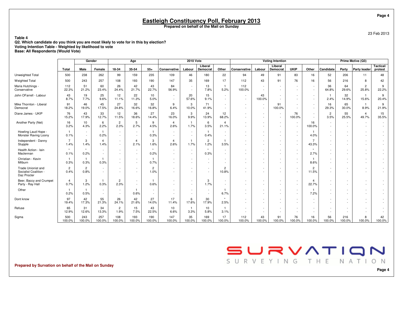23 Feb 2013

**Table 4 Q2. Which candidate do you think you are most likely to vote for in this by election?Voting Intention Table - Weighted by likelihood to voteBase: All Respondents (Would Vote)**

|                                                            |                        | Gender                 |                        |                                    | Age                                |                        |                                    | <b>2010 Vote</b>     |                                                      |                                    |                          |              | <b>Voting Intention</b> |                                                      |                               |                        |               | Prime Motive (Q3)       |                      |
|------------------------------------------------------------|------------------------|------------------------|------------------------|------------------------------------|------------------------------------|------------------------|------------------------------------|----------------------|------------------------------------------------------|------------------------------------|--------------------------|--------------|-------------------------|------------------------------------------------------|-------------------------------|------------------------|---------------|-------------------------|----------------------|
|                                                            | Total                  | Male                   | Female                 | 18-34                              | 35-54                              | $55+$                  | Conservative                       | Labour               | Liberal<br>Democrat                                  | Other                              | <b>Conservative</b>      | Labour       | Liberal<br>Democrat     | <b>UKIP</b>                                          | Other                         | Candidate              | Party         | <b>Party leader</b>     | Tactical/<br>protest |
| Unweighted Total                                           | 500                    | 238                    | 262                    | 99                                 | 159                                | 235                    | 109                                | 46                   | 180                                                  | 22                                 | 94                       | 49           | 91                      | 83                                                   | 16                            | 52                     | 206           | 11                      | 48                   |
| Weighted Total                                             | 500                    | 243                    | 257                    | 108                                | 193                                | 190                    | 147                                | 35                   | 169                                                  | 17                                 | 112                      | 43           | 91                      | 76                                                   | 16                            | 56                     | 216           | 8                       | 42                   |
| Maria Hutchings -<br>Conservative                          | 112<br>22.3%           | 51<br>21.2%            | 60<br>23.4%            | 26<br>24.4%                        | 42<br>21.7%                        | 43<br>22.7%            | 84<br>56.9%                        |                      | 13<br>7.8%                                           | 5.2%                               | 112<br>100.0%            | $\sim$<br>٠  |                         | $\sim$<br>$\sim$                                     | $\overline{\phantom{a}}$<br>٠ | 36<br>64.8%            | 64<br>29.6%   | $\overline{c}$<br>25.8% | 9<br>22.2%           |
| John OFarrell - Labour                                     | 43<br>8.7%             | 19<br>7.7%             | 25<br>9.6%             | 12<br>11.1%                        | 22<br>11.3%                        | 10<br>5.0%             | $\sim$<br>$\overline{\phantom{a}}$ | 20<br>57.6%          | 15<br>9.1%                                           | $\sim$<br>$\sim$                   | $\sim$<br>$\sim$         | 43<br>100.0% |                         | $\overline{\phantom{a}}$                             | $\sim$<br>$\sim$              | 2.4%                   | 32<br>14.9%   | $\mathbf{1}$<br>15.6%   | 9<br>20.4%           |
| Mike Thornton - Liberal<br>Democrat                        | 91<br>18.2%            | 46<br>19.0%            | 45<br>17.5%            | 27<br>24.8%                        | 32<br>16.6%                        | 32<br>16.8%            | 9<br>6.4%                          | 3<br>10.0%           | 71<br>41.9%                                          | $\sim$<br>$\sim$                   | $\sim$<br>$\sim$         | ٠            | 91<br>100.0%            | $\sim$                                               | $\sim$<br>$\sim$              | 16<br>29.3%            | 65<br>30.0%   | $\mathbf{1}$<br>8.9%    | 9<br>21.9%           |
| Diane James - UKIP                                         | 76<br>15.2%            | 43<br>17.9%            | 33<br>12.7%            | 12<br>11.5%                        | 36<br>18.6%                        | 27<br>14.4%            | 23<br>16.0%                        | 3<br>9.9%            | 24<br>13.9%                                          | 12<br>68.2%                        | $\sim$                   | ٠            | $\sim$                  | 76<br>100.0%                                         | $\sim$                        | $\overline{2}$<br>3.5% | 55<br>25.5%   | $\overline{4}$<br>49.7% | 15<br>35.5%          |
| Another Party (Net)                                        | 16<br>3.2%             | 10<br>4.3%             | 6<br>2.2%              | $\overline{2}$<br>2.3%             | 5<br>2.7%                          | 9<br>4.5%              | $\overline{4}$<br>2.6%             | $\mathbf{1}$<br>1.7% | 6<br>3.5%                                            | $\overline{4}$<br>21.1%            | $\overline{\phantom{a}}$ | ۰            |                         | $\sim$                                               | 16<br>100.0%                  | $\sim$<br>$\sim$       |               | $\sim$<br>$\sim$        |                      |
| Howling Laud Hope -<br>Monster Raving Loony                | 0.1%                   | $\sim$                 | 0.2%                   |                                    | $\sim$                             | $\mathbf{1}$<br>0.3%   |                                    | $\sim$               | 0.4%                                                 | $\overline{\phantom{a}}$<br>$\sim$ | $\overline{\phantom{0}}$ | ٠            |                         | $\sim$                                               | 4.0%                          |                        |               | $\sim$                  |                      |
| Independent - Danny<br>Stupple                             | $\overline{7}$<br>1.4% | 3<br>1.4%              | $\overline{4}$<br>1.4% | $\sim$                             | $\overline{4}$<br>2.1%             | 3<br>1.6%              | $\boldsymbol{4}$<br>2.6%           | $\mathbf{1}$<br>1.7% | $\overline{2}$<br>1.2%                               | 3.5%                               | $\sim$                   | ٠            |                         | $\sim$<br>$\sim$                                     | $\overline{7}$<br>43.3%       |                        |               |                         |                      |
| Health Action - Iain<br>Maclennan                          | $\star$<br>0.1%        | $\star$<br>0.2%        |                        |                                    | $\sim$<br>$\sim$                   | $\star$<br>0.2%        | $\overline{\phantom{a}}$           |                      | 0.3%                                                 | $\overline{\phantom{a}}$<br>$\sim$ |                          |              |                         | $\overline{\phantom{a}}$<br>$\overline{\phantom{a}}$ | $\ddot{\phantom{1}}$<br>2.7%  |                        |               |                         |                      |
| Christian - Kevin<br>Milburn                               | 0.3%                   | $\mathbf{1}$<br>0.3%   | 0.3%                   |                                    | $\sim$<br>$\sim$                   | 0.7%                   |                                    |                      |                                                      |                                    |                          |              |                         |                                                      | 8.6%                          |                        |               |                         |                      |
| Trade Unionist and<br>Socialist Coalition -<br>Daz Procter | $\overline{2}$<br>0.4% | $\overline{2}$<br>0.8% |                        |                                    | $\sim$<br>$\sim$                   | $\overline{2}$<br>1.0% |                                    |                      |                                                      | $\overline{c}$<br>10.8%            |                          |              |                         |                                                      | $\overline{2}$<br>11.5%       |                        |               |                         |                      |
| Beer, Baccy and Crumpet<br>Party - Ray Hall                | $\overline{4}$<br>0.7% | 3<br>1.2%              | 0.3%                   | $\overline{c}$<br>2.3%             | $\sim$<br>$\overline{\phantom{a}}$ | 0.6%                   |                                    | <b>Section</b>       | 3<br>1.7%                                            |                                    | $\sim$                   | ٠            |                         | $\sim$<br>$\sim$                                     | $\overline{4}$<br>22.7%       |                        |               |                         |                      |
| Other                                                      | 0.2%                   | $\mathbf{1}$<br>0.5%   | $\sim$                 | $\sim$<br>$\overline{\phantom{a}}$ | $\overline{1}$<br>0.6%             | $\sim$<br>$\sim$       |                                    |                      | $\overline{\phantom{a}}$<br>$\overline{\phantom{a}}$ | 6.7%                               |                          |              |                         | $\sim$<br>$\overline{\phantom{a}}$                   | $\mathbf{1}$<br>7.2%          |                        |               |                         |                      |
| Dont know                                                  | 97<br>19.4%            | 42<br>17.3%            | 55<br>21.3%            | 26<br>24.1%                        | 42<br>21.6%                        | 27<br>14.0%            | 17<br>11.4%                        | 6<br>17.6%           | 30<br>17.9%                                          | $\star$<br>2.5%                    |                          |              |                         |                                                      | $\sim$                        |                        |               |                         |                      |
| Refuse                                                     | 65<br>12.9%            | 31<br>12.6%            | 34<br>13.3%            | $\overline{c}$<br>1.9%             | 15<br>7.5%                         | 43<br>22.5%            | 10<br>6.6%                         | $\mathbf{1}$<br>3.3% | 10<br>5.8%                                           | 3.1%                               |                          |              |                         |                                                      |                               |                        |               |                         |                      |
| Sigma                                                      | 500<br>100.0%          | 243<br>100.0%          | 257<br>100.0%          | 108<br>100.0%                      | 193<br>100.0%                      | 190<br>100.0%          | 147<br>100.0%                      | 35<br>100.0%         | 169<br>100.0%                                        | 17<br>100.0%                       | 112<br>100.0%            | 43<br>100.0% | 91<br>100.0%            | 76<br>100.0%                                         | 16<br>100.0%                  | 56<br>100.0%           | 216<br>100.0% | 8<br>100.0%             | 42<br>100.0%         |

**Prepared by Survation on behalf of the Mail on Sunday**

SURVEYING THE NATION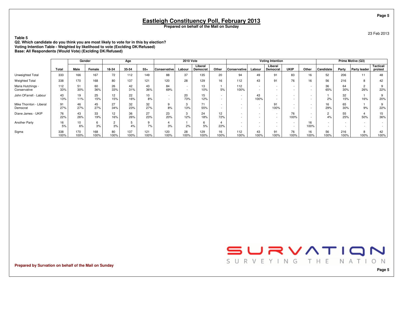23 Feb 2013

**Table 5**

 **Q2. Which candidate do you think you are most likely to vote for in this by election?Voting Intention Table - Weighted by likelihood to vote (Exclding DK/Refused)Base: All Respondents (Would Vote) (Exclding DK/Refused)**

|                                     |             |             | Gender      |                      | Age         |                       |              | <b>2010 Vote</b>                   |                     |                                    |                                                      |                  | <b>Voting Intention</b> |                                                      |                                    |            |             | Prime Motive (Q3)   |                      |
|-------------------------------------|-------------|-------------|-------------|----------------------|-------------|-----------------------|--------------|------------------------------------|---------------------|------------------------------------|------------------------------------------------------|------------------|-------------------------|------------------------------------------------------|------------------------------------|------------|-------------|---------------------|----------------------|
|                                     | Total       | Male        | Female      | 18-34                | 35-54       | $55+$                 | Conservative | Labour                             | Liberal<br>Democrat | Other                              | Conservative                                         | Labour           | Liberal<br>Democrat     | <b>UKIP</b>                                          | Other                              | Candidate  | Party       | <b>Party leader</b> | Tactical/<br>protest |
| Unweighted Total                    | 333         | 166         | 167         | 72                   | 112         | 149                   | 88           | 37                                 | 135                 | 20                                 | 94                                                   | 49               | 91                      | 83                                                   | 16                                 | 52         | 206         | 11                  | 48                   |
| <b>Weighted Total</b>               | 338         | 170         | 168         | 80                   | 137         | 121                   | 120          | 28                                 | 129                 | 16                                 | 112                                                  | 43               | 91                      | 76                                                   | 16                                 | 56         | 216         | 8                   | 42                   |
| Maria Hutchings -<br>Conservative   | 112<br>33%  | 51<br>30%   | 60<br>36%   | 26<br>33%            | 42<br>31%   | 43<br>36%             | 84<br>69%    | $\sim$<br>$\overline{\phantom{a}}$ | 13<br>10%           | 5%                                 | 112<br>100%                                          | $\sim$<br>$\sim$ |                         | $\sim$<br>$\overline{\phantom{0}}$                   | $\sim$<br>$\sim$                   | 36<br>65%  | 64<br>30%   | $\mathbf{2}$<br>26% | 9<br>22%             |
| John OFarrell - Labour              | 43<br>13%   | 19<br>11%   | 25<br>15%   | 12<br>15%            | 22<br>16%   | 10 <sup>1</sup><br>8% | $\sim$       | 20<br>73%                          | 15<br>12%           | $\sim$<br>$\sim$                   | $\overline{\phantom{a}}$<br>$\overline{\phantom{a}}$ | 43<br>100%       | $\sim$                  | $\overline{\phantom{0}}$                             |                                    | 2%         | 32<br>15%   | 16%                 | 9<br>20%             |
| Mike Thornton - Liberal<br>Democrat | 91<br>27%   | 46<br>27%   | 45<br>27%   | 27<br>34%            | 32<br>23%   | 32<br>27%             | 9<br>8%      | 3<br>13%                           | 71<br>55%           | $\sim$<br>$\overline{\phantom{a}}$ | $\sim$                                               | $\sim$           | 91<br>100%              | $\overline{\phantom{0}}$<br>$\overline{\phantom{a}}$ | $\sim$<br>$\sim$                   | 16<br>29%  | 65<br>30%   | 9%                  | 9<br>22%             |
| Diane James - UKIP                  | 76<br>22%   | 43<br>26%   | 33<br>19%   | 12<br>16%            | 36<br>26%   | 27<br>23%             | 23<br>20%    | 3<br>12%                           | 24<br>18%           | 12<br>72%                          | $\overline{\phantom{a}}$<br>$\overline{\phantom{a}}$ | $\sim$           | $\sim$<br>$\sim$        | 76<br>100%                                           | $\sim$<br>$\overline{\phantom{a}}$ | 4%         | 55<br>25%   | 50%                 | 15<br>36%            |
| <b>Another Party</b>                | 16<br>5%    | 10<br>6%    | 3%          | $\overline{2}$<br>3% | ь<br>4%     | 9<br>7%               | 3%           | 2%                                 | 6<br>5%             | 22%                                | $\sim$                                               |                  |                         | $\sim$                                               | 16<br>100%                         |            | $\sim$      | $\sim$              |                      |
| Sigma                               | 338<br>100% | 170<br>100% | 168<br>100% | 80<br>100%           | 137<br>100% | 121<br>100%           | 120<br>100%  | 28<br>100%                         | 129<br>100%         | 16<br>100%                         | 112<br>100%                                          | 43<br>100%       | 91<br>100%              | 76<br>100%                                           | 16<br>100%                         | 56<br>100% | 216<br>100% | 8<br>100%           | 42<br>100%           |

**Prepared by Survation on behalf of the Mail on Sunday**

SURVATION SURVEYING THE NATION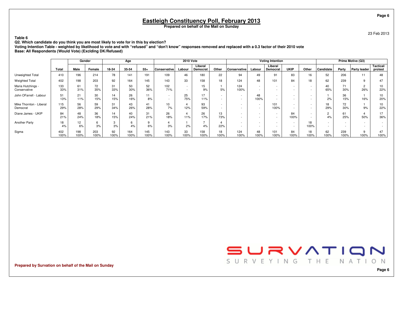**Eastleigh Constituency Poll, February 2013**

**Prepared on behalf of the Mail on Sunday**

23 Feb 2013

**Table 6**

**Q2. Which candidate do you think you are most likely to vote for in this by election?**

 **Voting Intention Table - weighted by likelihood to vote and with "refused" and "don't know" responses removed and replaced with a 0.3 factor of their 2010 voteBase: All Respondents (Would Vote) (Exclding DK/Refused)**

|                                     |             |             | Gender      |            | Age         |             |                                    | <b>2010 Vote</b>      |                     |                                                      |                                                      |                          | <b>Voting Intention</b>                              |                                                      |                                    |            |                          | Prime Motive (Q3)     |                      |
|-------------------------------------|-------------|-------------|-------------|------------|-------------|-------------|------------------------------------|-----------------------|---------------------|------------------------------------------------------|------------------------------------------------------|--------------------------|------------------------------------------------------|------------------------------------------------------|------------------------------------|------------|--------------------------|-----------------------|----------------------|
|                                     | Total       | Male        | Female      | 18-34      | 35-54       | $55+$       | Conservative                       | Labour                | Liberal<br>Democrat | Other                                                | Conservative                                         | Labour                   | Liberal<br>Democrat                                  | <b>UKIP</b>                                          | Other                              | Candidate  | Party                    | <b>Party leader</b>   | Tactical/<br>protest |
| Unweighted Total                    | 410         | 196         | 214         | 78         | 141         | 191         | 109                                | 46                    | 180                 | 22                                                   | 94                                                   | 49                       | 91                                                   | 83                                                   | 16                                 | 52         | 206                      | 11                    | 48                   |
| <b>Weighted Total</b>               | 402         | 198         | 203         | 92         | 164         | 145         | 143                                | 33                    | 158                 | 18                                                   | 124                                                  | 48                       | 101                                                  | 84                                                   | 18                                 | 62         | 239                      | 9                     | 47                   |
| Maria Hutchings -<br>Conservative   | 133<br>33%  | 61<br>31%   | 72<br>35%   | 31<br>33%  | 50<br>30%   | 52<br>36%   | 102<br>71%                         | $\sim$<br>$\sim$      | 15<br>9%            | 5%                                                   | 124<br>100%                                          | $\sim$<br>$\sim$         | $\sim$<br>$\sim$                                     | $\overline{\phantom{a}}$<br>$\sim$                   | $\sim$<br>$\sim$                   | 40<br>65%  | 71<br>30%                | $\overline{2}$<br>26% | 10<br>22%            |
| John OFarrell - Labour              | 51<br>13%   | 21<br>11%   | 30<br>15%   | 14<br>15%  | 26<br>16%   | 11<br>8%    | $\sim$<br>$\overline{\phantom{a}}$ | 25<br>75%             | 17<br>11%           | $\overline{\phantom{a}}$<br>$\overline{\phantom{a}}$ | $\overline{\phantom{0}}$<br>$\overline{\phantom{a}}$ | 48<br>100%               | $\overline{\phantom{a}}$<br>$\overline{\phantom{a}}$ | $\sim$<br>$\overline{\phantom{0}}$                   | $\sim$<br>$\overline{\phantom{0}}$ | 2%         | 36<br>15%                | 16%                   | 10<br>20%            |
| Mike Thornton - Liberal<br>Democrat | 115<br>29%  | 56<br>28%   | 59<br>29%   | 31<br>34%  | 43<br>26%   | 41<br>28%   | 10<br>7%                           | 4<br>12%              | 93<br>59%           | $\sim$<br>$\sim$                                     | $\overline{\phantom{0}}$<br>$\overline{\phantom{a}}$ | $\sim$<br>$\sim$         | 101<br>100%                                          | $\overline{\phantom{a}}$<br>$\overline{\phantom{a}}$ | $\sim$<br>$\sim$                   | 18<br>29%  | 72<br>30%                | 9%                    | 10<br>22%            |
| Diane James - UKIP                  | 84<br>21%   | 48<br>24%   | 36<br>18%   | 14<br>15%  | 40<br>24%   | 31<br>21%   | 26<br>18%                          | $\overline{4}$<br>11% | 26<br>17%           | 13<br>73%                                            | $\overline{\phantom{a}}$<br>$\sim$                   | $\overline{\phantom{a}}$ | $\sim$<br>$\sim$                                     | 84<br>100%                                           | $\overline{a}$<br>$\sim$           | 2<br>4%    | 61<br>25%                | 4<br>50%              | 17<br>36%            |
| Another Party                       | 18<br>4%    | 12<br>6%    | 3%          | 3<br>3%    | 6<br>4%     | 9<br>6%     | 3%                                 | 2%                    | $\rightarrow$<br>4% | 4<br>22%                                             | $\overline{\phantom{a}}$<br>$\sim$                   | $\sim$                   | $\sim$                                               | $\sim$<br>$\overline{\phantom{a}}$                   | 18<br>100%                         |            | $\overline{\phantom{a}}$ | $\sim$                | $\sim$<br>$\sim$     |
| Sigma                               | 402<br>100% | 198<br>100% | 203<br>100% | 92<br>100% | 164<br>100% | 145<br>100% | 143<br>100%                        | 33<br>100%            | 158<br>100%         | 18<br>100%                                           | 124<br>100%                                          | 48<br>100%               | 101<br>100%                                          | 84<br>100%                                           | 18<br>100%                         | 62<br>100% | 239<br>100%              | 9<br>100%             | 47<br>100%           |

**Prepared by Survation on behalf of the Mail on Sunday**

SURVATION SURVEYING THE NATION

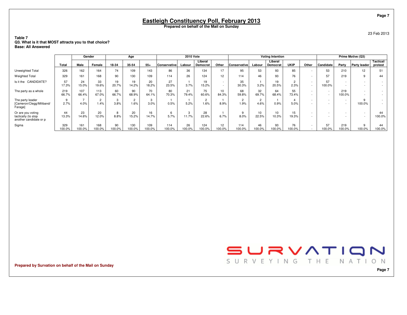23 Feb 2013

#### **Table 7 Q3. What is it that MOST attracts you to that choice?Base: All Answered**

|                                                                    |               |               | Gender                 |              | Age                    |               |               | <b>2010 Vote</b> |                     |                                                      |                |                  | <b>Voting Intention</b>    |                        |                          |                                    |                                    | Prime Motive (Q3)                                    |                      |
|--------------------------------------------------------------------|---------------|---------------|------------------------|--------------|------------------------|---------------|---------------|------------------|---------------------|------------------------------------------------------|----------------|------------------|----------------------------|------------------------|--------------------------|------------------------------------|------------------------------------|------------------------------------------------------|----------------------|
|                                                                    | Total         | Male          | Female                 | 18-34        | 35-54                  | $55+$         | Conservative  | Labour           | Liberal<br>Democrat | Other                                                | Conservative   | Labour           | Liberal<br><b>Democrat</b> | <b>UKIP</b>            | Other                    | Candidate                          | Party                              | <b>Party leader</b>                                  | Tactical/<br>protest |
| Unweighted Total                                                   | 326           | 162           | 164                    | 74           | 109                    | 143           | 86            | 36               | 134                 | 17                                                   | 95             | 53               | 93                         | 85                     |                          | 53                                 | 210                                | 12                                                   | 51                   |
| <b>Weighted Total</b>                                              | 329           | 161           | 168                    | 90           | 130                    | 109           | 114           | 26               | 124                 | 12 <sup>2</sup>                                      | 114            | 46               | 93                         | 76                     |                          | 57                                 | 219                                | 9                                                    | 44                   |
| CANDIDATE?<br>Is it the                                            | 57<br>17.3%   | 24<br>15.0%   | 33<br>19.6%            | 19<br>20.7%  | 19<br>14.2%            | 20<br>18.2%   | 27<br>23.5%   | 3.7%             | 19<br>15.2%         | $\overline{\phantom{a}}$<br>$\overline{\phantom{a}}$ | 35<br>30.3%    | 3.2%             | 19<br>20.5%                | $\overline{c}$<br>2.3% | ٠                        | 57<br>100.0%                       | $\sim$                             | $\overline{\phantom{a}}$                             |                      |
| The party as a whole                                               | 219<br>66.7%  | 107<br>66.4%  | 113<br>67.0%           | 60<br>66.7%  | 90<br>68.9%            | 70<br>64.1%   | 80<br>70.3%   | 21<br>79.4%      | 75<br>60.6%         | 10<br>84.3%                                          | 68<br>59.8%    | 32<br>69.7%      | 64<br>68.4%                | 55<br>73.4%            | $\overline{\phantom{a}}$ | $\sim$                             | 219<br>100.0%                      | $\overline{\phantom{a}}$                             |                      |
| The party leader<br>[Cameron/Clegg/Miliband/<br>Farage]            | 9<br>2.7%     | 4.0%          | $\overline{2}$<br>1.4% | 3.8%         | $\overline{2}$<br>1.6% | 3<br>3.0%     | 0.5%          | 5.2%             | 1.6%                | 8.9%                                                 | $\sim$<br>1.9% | $\Omega$<br>4.6% | 0.9%                       | 5.0%                   | $\sim$<br>٠              | $\sim$<br>$\overline{\phantom{a}}$ | $\sim$<br>$\overline{\phantom{a}}$ | 100.0%                                               |                      |
| Or are you voting<br>tactically (to stop<br>another candidate or p | 44<br>13.3%   | 23<br>14.6%   | 20<br>12.0%            | ਲ<br>8.8%    | 20<br>15.2%            | 16<br>14.7%   | 5.7%          | 3<br>11.7%       | 28<br>22.6%         | 6.7%                                                 | 9<br>8.0%      | 10<br>22.5%      | 10 <sup>10</sup><br>10.3%  | 15<br>19.3%            | $\overline{\phantom{a}}$ | $\overline{\phantom{a}}$           | $\overline{\phantom{a}}$           | $\overline{\phantom{a}}$<br>$\overline{\phantom{a}}$ | 44<br>100.0%         |
| Sigma                                                              | 329<br>100.0% | 161<br>100.0% | 168<br>100.0%          | 90<br>100.0% | 130<br>100.0%          | 109<br>100.0% | 114<br>100.0% | 26<br>100.0%     | 124<br>100.0%       | 12 <sup>2</sup><br>100.0%                            | 114<br>100.0%  | 46<br>100.0%     | 93<br>00.0%                | 76<br>100.0%           |                          | 57<br>100.0%                       | 219<br>100.0%                      | 9<br>100.0%                                          | 44<br>100.0%         |

**Prepared by Survation on behalf of the Mail on Sunday**

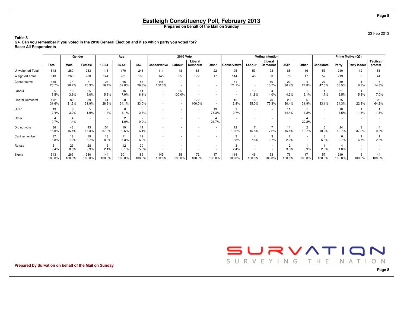23 Feb 2013

**Table 8 Q4. Can you remember if you voted in the 2010 General Election and if so which party you voted for?Base: All Respondents**

|                       |               | Gender                  |                  |                        | Age                    |                        |                                                      | <b>2010 Vote</b>                   |                                    |                                    |                                    |                  | <b>Voting Intention</b> |                        |                         |                  |                         | Prime Motive (Q3)                                    |                      |
|-----------------------|---------------|-------------------------|------------------|------------------------|------------------------|------------------------|------------------------------------------------------|------------------------------------|------------------------------------|------------------------------------|------------------------------------|------------------|-------------------------|------------------------|-------------------------|------------------|-------------------------|------------------------------------------------------|----------------------|
|                       | Total         | Male                    | Female           | 18-34                  | 35-54                  | $55+$                  | Conservative                                         | Labour                             | Liberal<br>Democrat                | Other                              | Conservative                       | Labour           | Liberal<br>Democrat     | <b>UKIP</b>            | Other                   | Candidate        | Party                   | Party leader                                         | Tactical/<br>protest |
| Unweighted Total      | 543           | 260                     | 283              | 118                    | 170                    | 246                    | 111                                                  | 48                                 | 188                                | 22                                 | 95                                 | 53               | 93                      | 85                     | 16                      | 53               | 210                     | 12                                                   | 51                   |
| <b>Weighted Total</b> | 543           | 263                     | 280              | 144                    | 201                    | 189                    | 145                                                  | 35                                 | 172                                | 17                                 | 114                                | 46               | 93                      | 76                     | 17                      | 57               | 219                     | 9                                                    | 44                   |
| Conservative          | 145<br>26.7%  | 74<br>28.2%             | 71<br>25.3%      | 24<br>16.4%            | 66<br>32.8%            | 55<br>29.3%            | 145<br>100.0%                                        | $\sim$<br>$\sim$                   | $\sim$<br>$\sim$                   | $\sim$                             | 81<br>71.1%                        | $\sim$<br>$\sim$ | 10<br>10.7%             | 23<br>30.4%            | 4<br>24.8%              | 27<br>47.0%      | 80<br>36.5%             | 6.3%                                                 | 6<br>14.8%           |
| Labour                | 35<br>6.5%    | 10 <sup>1</sup><br>3.9% | 25<br>9.0%       | 8<br>5.6%              | 16<br>7.9%             | 11<br>6.1%             | $\sim$<br>$\sim$                                     | 35<br>100.0%                       | $\sim$<br>$\sim$                   | $\sim$<br>$\sim$                   | $\overline{\phantom{a}}$<br>$\sim$ | 19<br>41.8%      | 4<br>4.0%               | 3<br>4.3%              | 3.1%                    | 1.7%             | 21<br>9.5%              | 15.3%                                                | 3<br>7.0%            |
| Liberal Democrat      | 172<br>31.6%  | 82<br>31.3%             | 89<br>31.9%      | 41<br>28.3%            | 68<br>34.1%            | 62<br>33.0%            | $\overline{\phantom{a}}$<br>$\sim$                   | $\overline{\phantom{a}}$<br>$\sim$ | 172<br>100.0%                      | $\overline{\phantom{a}}$<br>$\sim$ | 15<br>12.8%                        | 16<br>35.0%      | 70<br>75.3%             | 23<br>30.4%            | 5<br>31.9%              | 19<br>33.1%      | 75<br>34.3%             | $\overline{2}$<br>22.9%                              | 28<br>64.2%          |
| <b>UKIP</b>           | 13<br>2.4%    | 8<br>3.0%               | 5<br>1.9%        | $\overline{c}$<br>1.4% | 6<br>3.1%              | 5<br>2.7%              | $\overline{\phantom{a}}$<br>$\sim$                   | $\sim$<br>$\sim$                   | $\sim$<br>$\sim$                   | 13<br>78.3%                        | 0.7%                               | $\sim$<br>$\sim$ | $\sim$<br>$\sim$        | 11<br>14.4%            | 3.2%                    | $\sim$<br>$\sim$ | 10 <sup>1</sup><br>4.5% | 11.8%                                                | 1.8%                 |
| Other                 | 0.7%          | 4<br>1.4%               | $\sim$<br>$\sim$ | $\sim$<br>in 1919.     | $\overline{2}$<br>1.0% | $\overline{2}$<br>0.9% | $\overline{\phantom{a}}$<br>$\overline{\phantom{a}}$ | $\sim$                             | $\overline{\phantom{a}}$<br>$\sim$ | 4<br>21.7%                         | $\sim$<br>$\sim$                   | $\sim$           | $\sim$<br>$\sim$        | $\sim$<br>$\sim$       | 4<br>22.2%              | $\sim$<br>$\sim$ |                         | $\overline{\phantom{a}}$<br>$\overline{\phantom{a}}$ |                      |
| Did not vote          | 86<br>15.8%   | 43<br>16.4%             | 43<br>15.3%      | 54<br>37.3%            | 19<br>9.6%             | 11<br>6.1%             | $\overline{\phantom{a}}$<br>$\sim$                   | $\sim$                             | $\sim$<br>$\overline{\phantom{a}}$ | $\overline{\phantom{a}}$           | 12<br>10.2%                        | 15.5%            | 7.2%                    | 11<br>15.1%            | $\overline{2}$<br>10.7% | 6<br>10.2%       | 24<br>10.7%             | 3<br>37.0%                                           | 9.6%                 |
| Cant remember         | 37<br>6.8%    | 18<br>7.0%              | 19<br>6.7%       | 13<br>8.9%             | 11<br>5.3%             | 12<br>6.2%             | $\overline{\phantom{a}}$<br>$\overline{\phantom{a}}$ |                                    | $\sim$<br>$\sim$                   | <b>.</b><br>$\sim$                 | 3<br>2.8%                          | 4<br>7.6%        | 3<br>2.7%               | $\overline{2}$<br>2.2% | $\sim$<br>$\sim$        | 3<br>5.8%        | 6<br>2.7%               | 6.7%                                                 | 2.6%                 |
| Refuse                | 51<br>9.4%    | 23<br>8.8%              | 28<br>9.9%       | 3<br>2.1%              | 12<br>6.1%             | 30<br>15.8%            | $\sim$<br>$\sim$                                     | $\sim$<br>$\sim$                   | $\sim$<br>$\sim$                   | $\overline{\phantom{a}}$<br>$\sim$ | 3<br>2.4%                          | $\sim$<br>$\sim$ | $\sim$<br>$\sim$        | 2<br>3.3%              | 3.9%                    | 2.0%             | 1.8%                    | $\overline{\phantom{a}}$                             |                      |
| Sigma                 | 543<br>100.0% | 263<br>100.0%           | 280<br>00.0%     | 144<br>100.0%          | 201<br>00.0%           | 189<br>100.0%          | 145<br>100.0%                                        | 35<br>100.0%                       | 172<br>100.0%                      | 17<br>100.0%                       | 114<br>100.0%                      | 46<br>100.0%     | 93<br>100.0%            | 76<br>100.0%           | 17<br>100.0%            | 57<br>100.0%     | 219<br>100.0%           | 9<br>100.0%                                          | 44<br>100.0%         |

**Prepared by Survation on behalf of the Mail on Sunday**

SURVATION SURVEYING THE NATION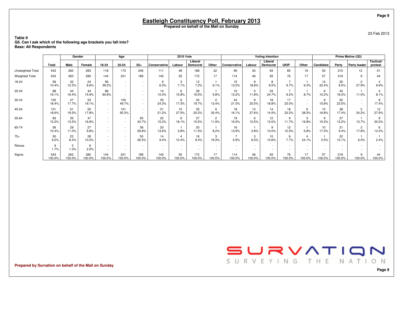23 Feb 2013

**Table 9 Q5. Can I ask which of the following age brackets you fall into?Base: All Respondents**

|                       |               | Gender        |               |                                    | Age                                |                  |               | <b>2010 Vote</b>         |                            |                          |               |                                    | <b>Voting Intention</b> |                                    |                          |                           |                          | Prime Motive (Q3)       |                      |
|-----------------------|---------------|---------------|---------------|------------------------------------|------------------------------------|------------------|---------------|--------------------------|----------------------------|--------------------------|---------------|------------------------------------|-------------------------|------------------------------------|--------------------------|---------------------------|--------------------------|-------------------------|----------------------|
|                       | Total         | Male          | Female        | 18-34                              | 35-54                              | $55+$            | Conservative  | Labour                   | Liberal<br><b>Democrat</b> | Other                    | Conservative  | Labour                             | Liberal<br>Democrat     | <b>UKIP</b>                        | Other                    | Candidate                 | Party                    | Party leader            | Tactical/<br>protest |
| Unweighted Total      | 543           | 260           | 283           | 118                                | 170                                | 246              | 111           | 48                       | 188                        | 22                       | 95            | 53                                 | 93                      | 85                                 | 16                       | 53                        | 210                      | 12 <sup>2</sup>         | 51                   |
| <b>Weighted Total</b> | 543           | 263           | 280           | 144                                | 201                                | 189              | 145           | 35                       | 172                        | 17                       | 114           | 46                                 | 93                      | 76                                 | 17                       | 57                        | 219                      | 9                       | 44                   |
| 18-24                 | 56<br>10.4%   | 32<br>12.2%   | 24<br>8.6%    | 56<br>39.2%                        | $\sim$<br>$\sim$                   | $\sim$<br>$\sim$ | 9<br>6.3%     | 3<br>7.1%                | 12<br>7.2%                 | 6.1%                     | 15<br>13.5%   | 9<br>18.8%                         | 8<br>8.5%               | $\overline{z}$<br>9.7%             | 6.3%                     | 13<br>22.4%               | 20<br>9.0%               | $\overline{2}$<br>27.9% | 9.9%                 |
| 25-34                 | 88<br>16.1%   | 43<br>16.4%   | 44<br>15.9%   | 88<br>60.8%                        | $\sim$<br>$\sim$                   | $\sim$<br>$\sim$ | 14<br>10.0%   | 6<br>15.8%               | 28<br>16.5%                | 5.8%                     | 15<br>13.2%   | 5<br>11.8%                         | 23<br>24.7%             | $\rightarrow$<br>9.2%              | 8.7%                     | 6<br>10.2%                | 40<br>18.3%              | 11.0%                   | 8.1%                 |
| 35-44                 | 100<br>18.4%  | 47<br>17.7%   | 53<br>19.1%   | $\sim$<br>$\sim$                   | 100<br>49.7%                       | $\sim$<br>$\sim$ | 35<br>24.3%   | 6<br>17.3%               | 34<br>19.7%                | $\overline{2}$<br>13.4%  | 24<br>21.0%   | 9<br>20.5%                         | 18<br>18.8%             | 17<br>23.0%                        | $\sim$<br>$\sim$         | 9<br>15.8%                | 52<br>23.5%              | $\sim$                  | 8<br>17.4%           |
| 45-54                 | 101<br>18.6%  | 51<br>19.5%   | 50<br>17.8%   | $\sim$<br>$\sim$                   | 101<br>50.3%                       | $\sim$<br>$\sim$ | 31<br>21.2%   | 10<br>27.5%              | 35<br>20.2%                | 6<br>35.4%               | 18<br>16.1%   | 13<br>27.6%                        | 14<br>14.5%             | 18<br>23.2%                        | 6<br>38.3%               | 10 <sup>10</sup><br>16.8% | 38<br>17.4%              | $\overline{c}$<br>24.2% | 12<br>27.9%          |
| 55-64                 | 83<br>15.2%   | 35<br>13.5%   | 47<br>16.8%   | $\sim$<br>$\sim$                   | $\sim$<br>$\sim$                   | 83<br>43.7%      | 22<br>15.2%   | 6<br>18.1%               | 27<br>15.5%                | $\overline{2}$<br>11.9%  | 19<br>16.5%   | 6<br>12.5%                         | 12<br>13.0%             | 9<br>11.7%                         | 3<br>16.8%               | 9<br>15.3%                | 27<br>12.2%              | 12.7%                   | 9<br>20.0%           |
| 65-74                 | 56<br>10.4%   | 29<br>11.0%   | 27<br>9.8%    | $\sim$<br>$\sim$                   | $\sim$<br>$\sim$                   | 56<br>29.8%      | 20<br>13.6%   | 3.8%                     | 20<br>11.5%                | 8.2%                     | 16<br>13.9%   | 2.8%                               | 9<br>10.0%              | 12<br>15.5%                        | 5.8%                     | 10<br>17.0%               | 21<br>9.4%               | $\overline{2}$<br>17.8% | 6<br>14.3%           |
| $75+$                 | 50<br>9.2%    | 22<br>8.4%    | 28<br>10.0%   | $\overline{\phantom{a}}$<br>$\sim$ | $\sim$<br>$\sim$                   | 50<br>26.5%      | 14<br>9.4%    | 10.4%                    | 16<br>9.4%                 | 3<br>19.3%               | 5.9%          | 3<br>6.0%                          | 10<br>10.6%             | 6<br>7.7%                          | 24.1%                    | 2.5%                      | 22<br>10.1%              | 6.5%                    | 2.4%                 |
| Refuse                | 9<br>1.7%     | 3<br>1.3%     | 6<br>2.0%     | $\sim$<br>$\sim$                   | $\sim$<br>$\overline{\phantom{a}}$ | $\sim$<br>$\sim$ | $\sim$        | $\overline{\phantom{a}}$ | $\sim$                     | $\overline{\phantom{a}}$ |               | $\overline{\phantom{a}}$<br>$\sim$ | $\sim$<br>$\sim$        | $\overline{\phantom{a}}$<br>$\sim$ | $\overline{\phantom{a}}$ | $\sim$                    | $\overline{\phantom{a}}$ |                         |                      |
| Sigma                 | 543<br>100.0% | 263<br>100.0% | 280<br>100.0% | 144<br>100.0%                      | 201<br>100.0%                      | 189<br>100.0%    | 145<br>100.0% | 35<br>100.0%             | 172<br>100.0%              | 17<br>100.0%             | 114<br>100.0% | 46<br>100.0%                       | 93<br>100.0%            | 76<br>100.0%                       | 17<br>100.0%             | 57<br>100.0%              | 219<br>100.0%            | 9<br>100.0%             | 44<br>100.0%         |

**Prepared by Survation on behalf of the Mail on Sunday**

SURVEYING THE NATION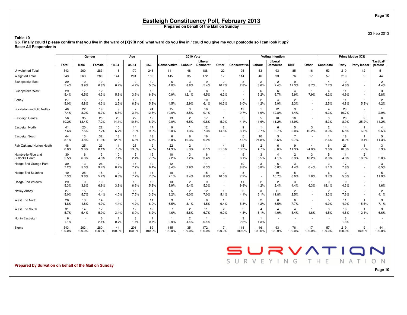23 Feb 2013

#### **Q6. Finally could I please confirm that you live in the ward of [X]?[If not] what ward do you live in / could you give me your postcode so I can look it up?Base: All Respondents**

|                           |            | Gender                             |             |                      | Age            |                        |                      | <b>2010 Vote</b>        |                      |                          |                 |                        | <b>Voting Intention</b> |                        |                        |                        |            | Prime Motive (Q3)      |                        |
|---------------------------|------------|------------------------------------|-------------|----------------------|----------------|------------------------|----------------------|-------------------------|----------------------|--------------------------|-----------------|------------------------|-------------------------|------------------------|------------------------|------------------------|------------|------------------------|------------------------|
|                           | Total      | Male                               | Female      | 18-34                | 35-54          | 55+                    | Conservative         | Labour                  | Liberal<br>Democrat  | Other                    | Conservative    | Labour                 | Liberal<br>Democrat     | <b>UKIP</b>            | Other                  | Candidate              | Party      | <b>Party leader</b>    | Tactical/<br>protest   |
| Unweighted Total          | 543        | 260                                | 283         | 118                  | 170            | 246                    | 111                  | 48                      | 188                  | 22                       | 95              | 53                     | 93                      | 85                     | 16                     | 53                     | 210        | 12                     | 51                     |
| <b>Weighted Total</b>     | 543        | 263                                | 280         | 144                  | 201            | 189                    | 145                  | 35                      | 172                  | 17                       | 114             | 46                     | 93                      | 76                     | 17                     | 57                     | 219        | 9                      | 44                     |
| <b>Bishopstoke East</b>   | 29         | 10                                 | 19          | 9                    | 9              | 10                     | 6                    | 3                       | 9                    | $\overline{c}$           | 3               | $\overline{2}$         | $\overline{2}$          | 9                      | $\overline{1}$         | 4                      | 10         | $\sim$                 | $\overline{c}$         |
|                           | 5.4%       | 3.9%                               | 6.8%        | 6.2%                 | 4.2%           | 5.5%                   | 4.0%                 | 8.8%                    | 5.4%                 | 10.7%                    | 2.8%            | 3.6%                   | 2.4%                    | 12.3%                  | 8.7%                   | 7.7%                   | 4.6%       | $\sim$                 | 4.4%                   |
| <b>Bishopstoke West</b>   | 29<br>5.4% | 17<br>6.5%                         | 12<br>4.3%  | 8<br>5.8%            | 8<br>3.9%      | 13<br>6.9%             | -1<br>0.9%           | $\overline{4}$<br>12.1% | 8<br>4.5%            | $\mathbf{1}$<br>6.2%     | $\sim$          | 6<br>13.2%             | 6<br>6.7%               | $\overline{4}$<br>5.9% | $\overline{1}$<br>7.9% | $\overline{4}$<br>6.2% | 11<br>4.9% | $\sim$<br>$\sim$       | 3<br>5.8%              |
| Botley                    | 27         | 15                                 | 12          | $\overline{4}$       | 12             | 10                     | $\overline{7}$       | $\mathbf{1}$            | 10                   | $\overline{2}$           | $\overline{7}$  | $\overline{2}$         | $\overline{4}$          | $\overline{2}$         | $\sim$                 | $\mathbf{1}$           | 11         | $\star$                | $\overline{2}$         |
|                           | 5.0%       | 5.8%                               | 4.3%        | 2.5%                 | 6.2%           | 5.3%                   | 4.5%                 | 2.9%                    | 6.1%                 | 10.3%                    | 6.0%            | 4.2%                   | 3.9%                    | 2.3%                   | $\sim$                 | 2.5%                   | 4.8%       | 5.3%                   | 4.2%                   |
| Bursledon and Old Netley  | 40         | 22                                 | 19          | 9                    | $\overline{7}$ | 24                     | 15                   | 3                       | 16                   | $\sim$                   | 12              | $\mathbf{1}$           | 12                      | 3                      | $\sim$                 | $\overline{4}$         | 23         | $\sim$                 | $\mathbf{1}$           |
|                           | 7.4%       | 8.2%                               | 6.7%        | 6.5%                 | 3.7%           | 12.5%                  | 10.0%                | 8.5%                    | 9.1%                 | $\sim$                   | 10.7%           | 1.9%                   | 12.8%                   | 4.4%                   | $\sim$                 | 6.3%                   | 10.7%      | $\sim$                 | 2.9%                   |
| Eastleigh Central         | 56         | 35                                 | 20          | 20                   | 22             | 12                     | 13                   | $\overline{2}$          | 17                   | $\mathbf{1}$             | 5               | 5                      | 10                      | 10                     | $\sim$                 | 3                      | 20         | $\overline{2}$         | 6                      |
|                           | 10.2%      | 13.4%                              | 7.2%        | 14.1%                | 10.8%          | 6.2%                   | 9.0%                 | 6.5%                    | 9.8%                 | 5.9%                     | 4.1%            | 11.6%                  | 11.2%                   | 13.9%                  | $\sim$                 | 5.3%                   | 8.9%       | 25.2%                  | 14.2%                  |
| Eastleigh North           | 41         | 20                                 | 22          | 10                   | 14             | 17                     | 9                    | $\star$                 | 12                   | $\overline{2}$           | 9               | $\mathbf{1}$           | 6                       | 5                      | 3                      | $\overline{2}$         | 14         | $\mathbf{1}$           | $\overline{4}$         |
|                           | 7.6%       | 7.5%                               | 7.7%        | 6.7%                 | 7.0%           | 9.0%                   | 6.0%                 | 1.3%                    | 7.3%                 | 14.5%                    | 8.1%            | 2.7%                   | 6.7%                    | 6.0%                   | 16.2%                  | 3.9%                   | 6.5%       | 6.3%                   | 9.6%                   |
| Eastleigh South           | 44<br>8.1% | 13<br>4.8%                         | 32<br>11.3% | 18<br>12.3%          | 14<br>6.8%     | 13<br>6.7%             | 6<br>3.8%            | 6<br>16.3%              | 16<br>9.2%           | $\sim$<br>$\sim$         | 5<br>4.0%       | 10<br>21.8%            | 3<br>3.5%               | $\overline{7}$<br>9.7% | $\sim$                 | $\mathbf{1}$<br>2.6%   | 18<br>8.2% | $\overline{1}$<br>9.4% | 5<br>11.3%             |
| Fair Oak and Horton Heath | 48         | 25                                 | 23          | 11                   | 28             | 9                      | 22                   | $\overline{2}$          | 11                   | $\overline{4}$           | 15              | $\overline{2}$         | 6                       | 9                      | $\overline{4}$         | 6                      | 23         | $\mathbf{1}$           | 3                      |
|                           | 8.8%       | 9.6%                               | 8.1%        | 7.9%                 | 13.8%          | 4.6%                   | 14.9%                | 5.3%                    | 6.1%                 | 21.5%                    | 13.3%           | 4.7%                   | 6.6%                    | 11.9%                  | 24.0%                  | 9.8%                   | 10.3%      | 7.6%                   | 7.9%                   |
| Hamble-le-Rice and        | 30         | 16                                 | 13          | 10                   | 5              | 15                     | 10                   | 3                       | 6                    | $\sim$                   | 9               | 3                      | $\overline{4}$          | $\overline{2}$         | 3                      | 5                      | 11         | $\overline{c}$         | $\mathbf{1}$           |
| <b>Butlocks Heath</b>     | 5.5%       | 6.3%                               | 4.8%        | 7.1%                 | 2.4%           | 7.8%                   | 7.2%                 | 7.2%                    | 3.4%                 | $\blacksquare$           | 8.1%            | 5.5%                   | 4.1%                    | 3.3%                   | 18.2%                  | 8.9%                   | 4.8%       | 18.5%                  | 2.0%                   |
| Hedge End Grange Park     | 39         | 13                                 | 26          | 12                   | 15             | 12                     | 12                   | $\mathbf{1}$            | 11                   | $\overline{\phantom{a}}$ | 10 <sup>1</sup> | 3                      | 6                       | 3                      | $\overline{1}$         | 3                      | 17         | $\sim$                 | 3                      |
|                           | 7.2%       | 5.0%                               | 9.4%        | 8.2%                 | 7.7%           | 6.4%                   | 8.4%                 | 2.9%                    | 6.3%                 | ä,                       | 8.8%            | 6.8%                   | 6.8%                    | 4.4%                   | 6.4%                   | 5.1%                   | 7.8%       | $\sim$                 | 6.5%                   |
| Hedge End St Johns        | 40         | 25                                 | 15          | 9                    | 15             | 14                     | 10                   | $\mathbf{1}$            | 15                   | $\overline{c}$           | 8               | $\sim$                 | 10                      | 5                      | $\overline{1}$         | 6                      | 12         | $\sim$                 | 5                      |
|                           | 7.3%       | 9.6%                               | 5.2%        | 6.3%                 | 7.7%           | 7.6%                   | 7.1%                 | 3.4%                    | 8.9%                 | 10.5%                    | 7.2%            | $\sim$                 | 10.7%                   | 6.0%                   | 7.8%                   | 9.7%                   | 5.5%       | $\sim$                 | 11.9%                  |
| Hedge End Wildern         | 29<br>5.3% | 9<br>3.6%                          | 19<br>6.9%  | 6<br>3.9%            | 13<br>6.6%     | 10<br>5.2%             | 13<br>8.9%           | $\overline{2}$<br>5.4%  | 9<br>5.3%            | $\sim$                   | 11<br>9.9%      | $\overline{2}$<br>4.2% | $\overline{2}$<br>2.4%  | 3<br>4.4%              | $\overline{1}$<br>6.3% | 9<br>15.1%             | 9<br>4.3%  | $\sim$<br>÷.           | $\mathbf{1}$<br>1.6%   |
| Netley Abbey              | 27<br>5.0% | 15<br>5.7%                         | 12<br>4.4%  | 6<br>4.0%            | 15<br>7.5%     | $\overline{7}$<br>3.5% | 5<br>3.2%            | $\overline{2}$<br>6.0%  | 12<br>7.0%           | 5.1%                     | 5<br>4.1%       | 3<br>6.1%              | 11<br>11.8%             | $\overline{2}$<br>2.5% | $\sim$                 | $\overline{2}$<br>3.3% | 17<br>7.6% | $\sim$                 | $\overline{c}$<br>4.1% |
| West End North            | 26         | 13                                 | 14          | 6                    | 9              | 11                     | 9                    | $\overline{1}$          | 8                    | $\mathbf{1}$             | $\overline{7}$  | $\overline{2}$         | 6                       | 6                      | $\sim$                 | 5                      | 11         | $\overline{1}$         | 3                      |
|                           | 4.8%       | 4.8%                               | 4.9%        | 4.4%                 | 4.2%           | 6.0%                   | 6.5%                 | 3.1%                    | 4.5%                 | 6.4%                     | 5.8%            | 4.2%                   | 6.5%                    | 7.7%                   | $\sim$                 | 9.0%                   | 4.9%       | 15.5%                  | 7.1%                   |
| West End South            | 31         | 14                                 | 17          | 5                    | 12             | 12                     | $\overline{7}$       | $\overline{2}$          | 11                   | $\overline{c}$           | 5               | 4                      | $\overline{4}$          | $\overline{4}$         | $\overline{1}$         | 3                      | 10         | $\overline{1}$         | 3                      |
|                           | 5.7%       | 5.4%                               | 5.9%        | 3.4%                 | 6.0%           | 6.2%                   | 4.6%                 | 5.8%                    | 6.7%                 | 9.0%                     | 4.8%            | 8.1%                   | 4.0%                    | 5.4%                   | 4.6%                   | 4.5%                   | 4.8%       | 12.1%                  | 6.6%                   |
| Not in Eastleigh          | 6<br>1.1%  | $\overline{\phantom{a}}$<br>$\sim$ | 6<br>2.1%   | $\mathbf{1}$<br>0.7% | 3<br>1.4%      | 0.7%                   | $\mathbf{1}$<br>0.9% | $\overline{2}$<br>4.4%  | $\mathbf{1}$<br>0.4% | $\sim$                   | 3<br>2.5%       | $\mathbf{1}$<br>1.3%   | $\sim$<br>$\sim$        | $\sim$<br>$\sim$       | $\sim$                 |                        | 3<br>1.6%  | $\sim$                 |                        |
| Sigma                     | 543        | 263                                | 280         | 144                  | 201            | 189                    | 145                  | 35                      | 172                  | 17                       | 114             | 46                     | 93                      | 76                     | 17                     | 57                     | 219        | 9                      | 44                     |
|                           | 100.0%     | 100.0%                             | 100.0%      | 100.0%               | 100.0%         | 100.0%                 | 100.0%               | 100.0%                  | 100.0%               | 100.0%                   | 100.0%          | 100.0%                 | 100.0%                  | 100.0%                 | 100.0%                 | 100.0%                 | 100.0%     | 100.0%                 | 100.0%                 |

**Prepared by Survation on behalf of the Mail on Sunday**

**Table 10**

SURVATION SURVEYING THE NATION

**Page 10**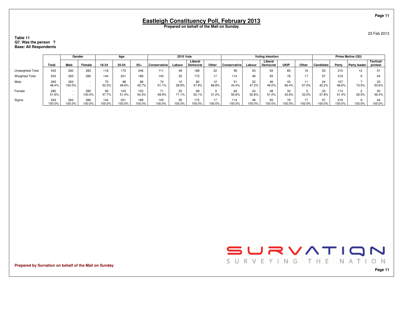**Table 11 Q7. Was the person ?Base: All Respondents**

|                       |               | Gender           |               |                      | Age           |               |               | <b>2010 Vote</b> |                     |              |                     |              | <b>Voting Intention</b> |                 |               |                |               | Prime Motive (Q3)   |                      |
|-----------------------|---------------|------------------|---------------|----------------------|---------------|---------------|---------------|------------------|---------------------|--------------|---------------------|--------------|-------------------------|-----------------|---------------|----------------|---------------|---------------------|----------------------|
|                       | Total         | Male             | Female        | 18-34                | 35-54         | $55+$         | Conservative  | Labour           | Liberal<br>Democrat | Other        | <b>Conservative</b> | Labour       | Liberal<br>Democrat     | <b>UKIP</b>     | Other         | Candidate      | Party         | <b>Party leader</b> | Tactical/<br>protest |
| Unweighted Total      | 543           | 260              | 283           | 118                  | 170           | 246           | 111           | 48               | 188                 | 22           | 95                  | 53           | 93                      | 85              | $\sim$<br>16. | 53             | 210           | 12                  | 5.                   |
| <b>Weighted Total</b> | 543           | 263              | 280           | 144                  | 201           | 189           | 145           | 35               | 172                 | 17           | 114                 | 46           | 93                      | 76              |               | 57             | 219           |                     | 44                   |
| Male                  | 263<br>48.4%  | 263<br>100.0%    | $\sim$        | $- -$<br>/5<br>52.3% | 98<br>48.6%   | 86<br>45.7%   | 74<br>51.1%   | 10<br>28.9%      | 82<br>47.9%         | 12<br>68.8%  | 51<br>44.4%         | 22<br>47.2%  | 46<br>49.0%             | 43<br>56.4%     | 67.0%         | 24<br>42.2%    | 107<br>48.6%  | 73.5%               | 23<br>53.6%          |
| Female                | 280<br>51.6%  | $\sim$<br>$\sim$ | 280<br>100.0% | 69<br>47.7%          | 103<br>51.4%  | 103<br>54.3%  | 48.9%         | 25<br>71.1%      | 89<br>52.1%         | 31.2%        | 63<br>55.6%         | 24<br>52.8%  | 48<br>51.0%             | 33<br>43.6%     | 33.0%         | 33<br>57.8%    | 113<br>51.4%  | 26.5%               | 20<br>46.4%          |
| Sigma                 | 543<br>100.0% | 263<br>100.0%    | 280<br>100.0% | 144<br>100.0%        | 201<br>100.0% | 189<br>100.0% | 145<br>100.0% | 35<br>100.0%     | 172<br>100.0%       | 17<br>100.0% | 114<br>100.0%       | 46<br>100.0% | 93<br>100.0%            | 76<br>$*00.0\%$ | 100.0%        | 57<br>$00.0\%$ | 219<br>100.0% | 100.0%              | 44<br>100.0%         |

**Prepared by Survation on behalf of the Mail on Sunday**

**Page 11**

SURVATION SURVEYING THE NATION

**Page 11**

23 Feb 2013